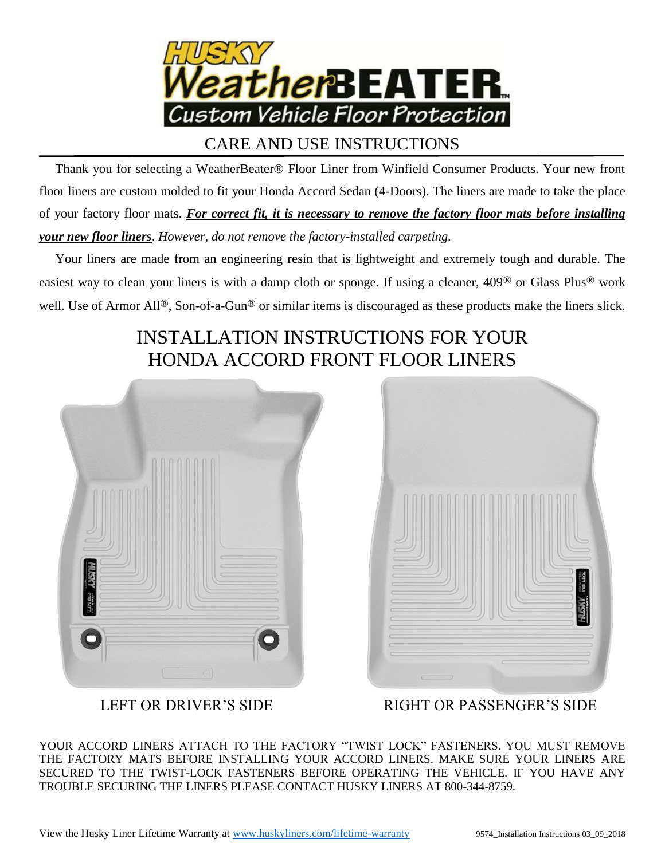

## CARE AND USE INSTRUCTIONS

 Thank you for selecting a WeatherBeater® Floor Liner from Winfield Consumer Products. Your new front floor liners are custom molded to fit your Honda Accord Sedan (4-Doors). The liners are made to take the place of your factory floor mats. *For correct fit, it is necessary to remove the factory floor mats before installing your new floor liners*. *However, do not remove the factory-installed carpeting.*

 Your liners are made from an engineering resin that is lightweight and extremely tough and durable. The easiest way to clean your liners is with a damp cloth or sponge. If using a cleaner, 409® or Glass Plus® work well. Use of Armor All®, Son-of-a-Gun® or similar items is discouraged as these products make the liners slick.

## INSTALLATION INSTRUCTIONS FOR YOUR HONDA ACCORD FRONT FLOOR LINERS





LEFT OR DRIVER'S SIDE RIGHT OR PASSENGER'S SIDE

YOUR ACCORD LINERS ATTACH TO THE FACTORY "TWIST LOCK" FASTENERS. YOU MUST REMOVE THE FACTORY MATS BEFORE INSTALLING YOUR ACCORD LINERS. MAKE SURE YOUR LINERS ARE SECURED TO THE TWIST-LOCK FASTENERS BEFORE OPERATING THE VEHICLE. IF YOU HAVE ANY TROUBLE SECURING THE LINERS PLEASE CONTACT HUSKY LINERS AT 800-344-8759.